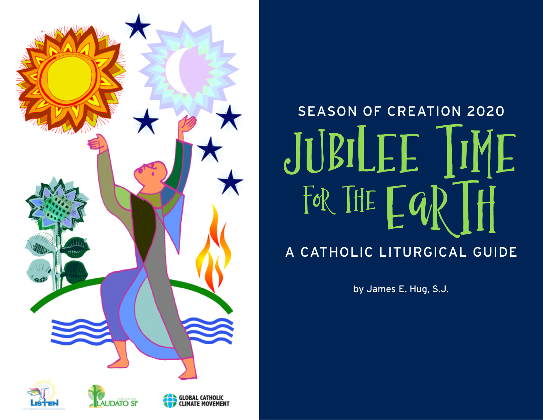

# SEASON OF CREATION 2020 SEASON OF CREATION 2020 UBILEE III A CATHOLIC LITURGICAL GUIDE

by James E. Hug, S.J.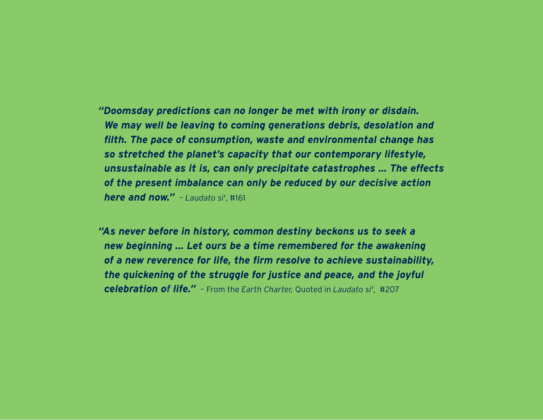*"Doomsday predictions can no longer be met with irony or disdain. We may well be leaving to coming generations debris, desolation and filth. The pace of consumption, waste and environmental change has so stretched the planet's capacity that our contemporary lifestyle, unsustainable as it is, can only precipitate catastrophes ... The effects of the present imbalance can only be reduced by our decisive action here and now."*– *Laudato si'*, #161

*"As never before in history, common destiny beckons us to seek a new beginning ... Let ours be a time remembered for the awakening of a new reverence for life, the firm resolve to achieve sustainability, the quickening of the struggle for justice and peace, and the joyful celebration of life."*– From the *Earth Charter,* Quoted in *Laudato si'*, #207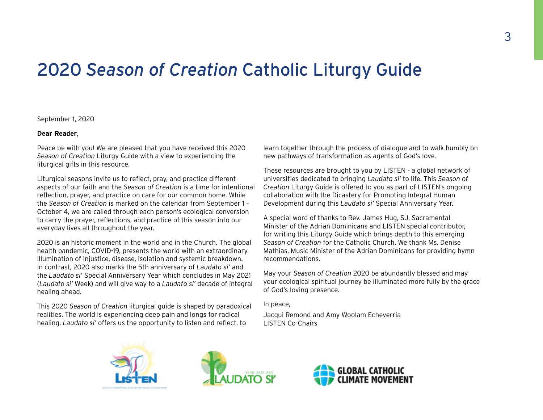### 2020 *Season of Creation* Catholic Liturgy Guide

September 1, 2020

### **Dear Reader**,

Peace be with you! We are pleased that you have received this 2020 *Season of Creation* Liturgy Guide with a view to experiencing the liturgical gifts in this resource.

Liturgical seasons invite us to reflect, pray, and practice different aspects of our faith and the *Season of Creation* is a time for intentional reflection, prayer, and practice on care for our common home. While the *Season of Creation* is marked on the calendar from September 1 – October 4, we are called through each person's ecological conversion to carry the prayer, reflections, and practice of this season into our everyday lives all throughout the year.

2020 is an historic moment in the world and in the Church. The global health pandemic, COVID-19, presents the world with an extraordinary illumination of injustice, disease, isolation and systemic breakdown. In contrast, 2020 also marks the 5th anniversary of *Laudato si'* and the *Laudato si'* Special Anniversary Year which concludes in May 2021 (*Laudato si'* Week) and will give way to a *Laudato si'* decade of integral healing ahead.

This 2020 *Season of Creation* liturgical guide is shaped by paradoxical realities. The world is experiencing deep pain and longs for radical healing. *Laudato si'* offers us the opportunity to listen and reflect, to

learn together through the process of dialogue and to walk humbly on new pathways of transformation as agents of God's love.

These resources are brought to you by LISTEN - a global network of universities dedicated to bringing *Laudato si'* to life. This *Season of Creation* Liturgy Guide is offered to you as part of LISTEN's ongoing collaboration with the Dicastery for Promoting Integral Human Development during this *Laudato si'* Special Anniversary Year.

A special word of thanks to Rev. James Hug, SJ, Sacramental Minister of the Adrian Dominicans and LISTEN special contributor, for writing this Liturgy Guide which brings depth to this emerging *Season of Creation* for the Catholic Church. We thank Ms. Denise Mathias, Music Minister of the Adrian Dominicans for providing hymn recommendations.

May your *Season of Creation* 2020 be abundantly blessed and may your ecological spiritual journey be illuminated more fully by the grace of God's loving presence.

In peace,

Jacqui Remond and Amy Woolam Echeverria LISTEN Co-Chairs





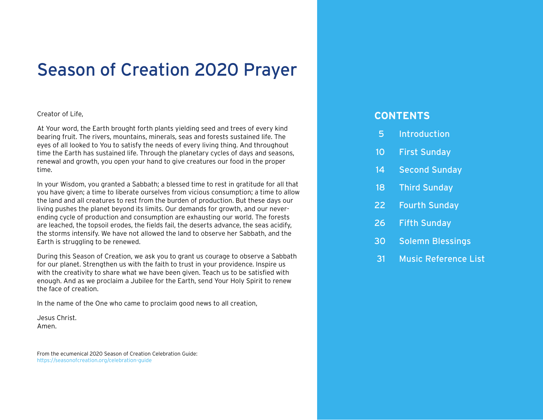### Season of Creation 2020 Prayer

### Creator of Life,

At Your word, the Earth brought forth plants yielding seed and trees of every kind bearing fruit. The rivers, mountains, minerals, seas and forests sustained life. The eyes of all looked to You to satisfy the needs of every living thing. And throughout time the Earth has sustained life. Through the planetary cycles of days and seasons, renewal and growth, you open your hand to give creatures our food in the proper time.

In your Wisdom, you granted a Sabbath; a blessed time to rest in gratitude for all that you have given; a time to liberate ourselves from vicious consumption; a time to allow the land and all creatures to rest from the burden of production. But these days our living pushes the planet beyond its limits. Our demands for growth, and our neverending cycle of production and consumption are exhausting our world. The forests are leached, the topsoil erodes, the fields fail, the deserts advance, the seas acidify, the storms intensify. We have not allowed the land to observe her Sabbath, and the Earth is struggling to be renewed.

During this Season of Creation, we ask you to grant us courage to observe a Sabbath for our planet. Strengthen us with the faith to trust in your providence. Inspire us with the creativity to share what we have been given. Teach us to be satisfied with enough. And as we proclaim a Jubilee for the Earth, send Your Holy Spirit to renew the face of creation.

In the name of the One who came to proclaim good news to all creation,

Jesus Christ. Amen.

From the ecumenical 2020 Season of Creation Celebration Guide: <https://seasonofcreation.org/celebration-guide>

### **CONTENTS**

- 5 [Introduction](#page-4-0)
- 10 [First Sunday](#page-9-0)
- 14 [Second Sunday](#page-13-0)
- 18 [Third Sunday](#page-17-0)
- 22 [Fourth Sunday](#page-21-0)
- 26 [Fifth Sunday](#page-25-0)
- [30 Solemn Blessings](#page-29-0)
- 31 [Music Reference List](#page-30-0)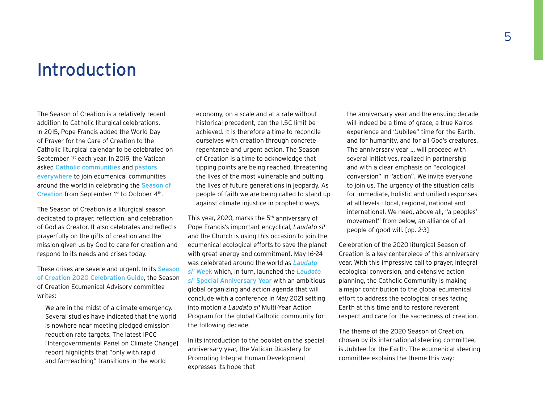### <span id="page-4-0"></span>Introduction

The Season of Creation is a relatively recent addition to Catholic liturgical celebrations. In 2015, Pope Francis added the World Day of Prayer for the Care of Creation to the Catholic liturgical calendar to be celebrated on September 1<sup>st</sup> each year. In 2019, the Vatican asked [Catholic communities](https://drive.google.com/file/d/1HRq_paLbnaMk33aPgUMxyqE1XZIFM1ph/view) and [pastors](https://drive.google.com/file/d/1p3LU9uvbNrXvxLtzhLM10Ej6CqE4mfxX/view)  [everywhere](https://drive.google.com/file/d/1p3LU9uvbNrXvxLtzhLM10Ej6CqE4mfxX/view) to join ecumenical communities around the world in celebrating the [Season of](http://seasonofcreation.org)  [Creation](http://seasonofcreation.org) from September 1<sup>st</sup> to October 4<sup>th</sup>.

The Season of Creation is a liturgical season dedicated to prayer, reflection, and celebration of God as Creator. It also celebrates and reflects prayerfully on the gifts of creation and the mission given us by God to care for creation and respond to its needs and crises today.

These crises are severe and urgent. In its Season [of Creation 2020 Celebration Guide](https://docs.google.com/document/d/1vbW8_PX7TeIZGgLC5qGSUJOvvmyiFRRjGBWAS1XJQTo/edit), the Season of Creation Ecumenical Advisory committee writes:

We are in the midst of a climate emergency. Several studies have indicated that the world is nowhere near meeting pledged emission reduction rate targets. The latest IPCC [Intergovernmental Panel on Climate Change] report highlights that "only with rapid and far-reaching" transitions in the world

economy, on a scale and at a rate without historical precedent, can the 1.5C limit be achieved. It is therefore a time to reconcile ourselves with creation through concrete repentance and urgent action. The Season of Creation is a time to acknowledge that tipping points are being reached, threatening the lives of the most vulnerable and putting the lives of future generations in jeopardy. As people of faith we are being called to stand up against climate injustice in prophetic ways.

This year, 2020, marks the 5<sup>th</sup> anniversary of Pope Francis's important encyclical, *Laudato si'* and the Church is using this occasion to join the ecumenical ecological efforts to save the planet with great energy and commitment. May 16-24 was celebrated around the world as *[Laudato](https://laudatosiweek.org/)  si'* [Week](https://laudatosiweek.org/) which, in turn, launched the *[Laudato](https://drive.google.com/drive/folders/1jxv95C4LhK4xrkrOnUWlP7Fal6dcNzYC)  si'* [Special Anniversary Year](https://drive.google.com/drive/folders/1jxv95C4LhK4xrkrOnUWlP7Fal6dcNzYC) with an ambitious global organizing and action agenda that will conclude with a conference in May 2021 setting into motion a *Laudato si'* Multi-Year Action Program for the global Catholic community for the following decade.

In its introduction to the booklet on the special anniversary year, the Vatican Dicastery for Promoting Integral Human Development expresses its hope that

the anniversary year and the ensuing decade will indeed be a time of grace, a true Kairos experience and "Jubilee" time for the Earth, and for humanity, and for all God's creatures. The anniversary year … will proceed with several initiatives, realized in partnership and with a clear emphasis on "ecological conversion" in "action". We invite everyone to join us. The urgency of the situation calls for immediate, holistic and unified responses at all levels - local, regional, national and international. We need, above all, "a peoples' movement" from below, an alliance of all people of good will. [pp. 2-3]

Celebration of the 2020 liturgical Season of Creation is a key centerpiece of this anniversary year. With this impressive call to prayer, integral ecological conversion, and extensive action planning, the Catholic Community is making a major contribution to the global ecumenical effort to address the ecological crises facing Earth at this time and to restore reverent respect and care for the sacredness of creation.

The theme of the 2020 Season of Creation, chosen by its international steering committee, is Jubilee for the Earth. The ecumenical steering committee explains the theme this way: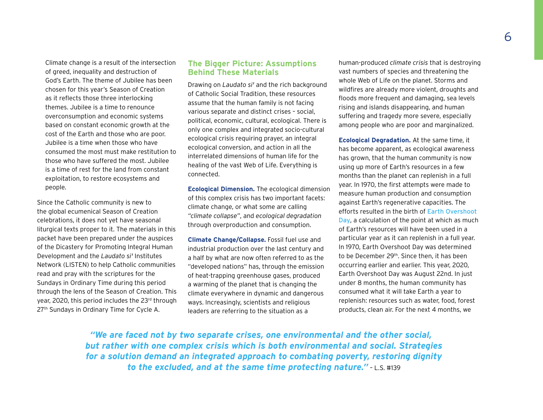Climate change is a result of the intersection of greed, inequality and destruction of God's Earth. The theme of Jubilee has been chosen for this year's Season of Creation as it reflects those three interlocking themes. Jubilee is a time to renounce overconsumption and economic systems based on constant economic growth at the cost of the Earth and those who are poor. Jubilee is a time when those who have consumed the most must make restitution to those who have suffered the most. Jubilee is a time of rest for the land from constant exploitation, to restore ecosystems and people.

Since the Catholic community is new to the global ecumenical Season of Creation celebrations, it does not yet have seasonal liturgical texts proper to it. The materials in this packet have been prepared under the auspices of the Dicastery for Promoting Integral Human Development and the *Laudato si'* Institutes Network (LISTEN) to help Catholic communities read and pray with the scriptures for the Sundays in Ordinary Time during this period through the lens of the Season of Creation. This year, 2020, this period includes the 23rd through 27<sup>th</sup> Sundays in Ordinary Time for Cycle A.

### **The Bigger Picture: Assumptions Behind These Materials**

Drawing on *Laudato si'* and the rich background of Catholic Social Tradition, these resources assume that the human family is not facing various separate and distinct crises – social, political, economic, cultural, ecological. There is only one complex and integrated socio-cultural ecological crisis requiring prayer, an integral ecological conversion, and action in all the interrelated dimensions of human life for the healing of the vast Web of Life. Everything is connected.

**Ecological Dimension.** The ecological dimension of this complex crisis has two important facets: climate change, or what some are calling *"climate collapse"*, and *ecological degradation* through overproduction and consumption.

**Climate Change/Collapse.** Fossil fuel use and industrial production over the last century and a half by what are now often referred to as the "developed nations" has, through the emission of heat-trapping greenhouse gases, produced a warming of the planet that is changing the climate everywhere in dynamic and dangerous ways. Increasingly, scientists and religious leaders are referring to the situation as a

human-produced *climate crisis* that is destroying vast numbers of species and threatening the whole Web of Life on the planet. Storms and wildfires are already more violent, droughts and floods more frequent and damaging, sea levels rising and islands disappearing, and human suffering and tragedy more severe, especially among people who are poor and marginalized.

**Ecological Degradation.** At the same time, it has become apparent, as ecological awareness has grown, that the human community is now using up more of Earth's resources in a few months than the planet can replenish in a full year. In 1970, the first attempts were made to measure human production and consumption against Earth's regenerative capacities. The efforts resulted in the birth of [Earth Overshoot](https://www.overshootday.org/)  [Day](https://www.overshootday.org/), a calculation of the point at which as much of Earth's resources will have been used in a particular year as it can replenish in a full year. In 1970, Earth Overshoot Day was determined to be December 29<sup>th</sup>. Since then, it has been occurring earlier and earlier. This year, 2020, Earth Overshoot Day was August 22nd. In just under 8 months, the human community has consumed what it will take Earth a year to replenish: resources such as water, food, forest products, clean air. For the next 4 months, we

*"We are faced not by two separate crises, one environmental and the other social, but rather with one complex crisis which is both environmental and social. Strategies for a solution demand an integrated approach to combating poverty, restoring dignity to the excluded, and at the same time protecting nature."* – L.S. #139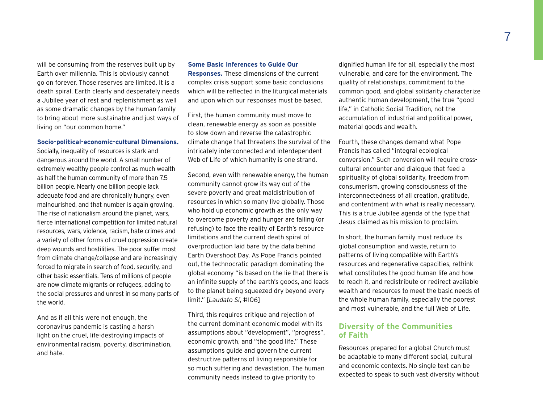will be consuming from the reserves built up by Earth over millennia. This is obviously cannot go on forever. Those reserves are limited. It is a death spiral. Earth clearly and desperately needs a Jubilee year of rest and replenishment as well as some dramatic changes by the human family to bring about more sustainable and just ways of living on "our common home."

#### **Socio-political-economic-cultural Dimensions.**

Socially, inequality of resources is stark and dangerous around the world. A small number of extremely wealthy people control as much wealth as half the human community of more than 7.5 billion people. Nearly one billion people lack adequate food and are chronically hungry, even malnourished, and that number is again growing. The rise of nationalism around the planet, wars, fierce international competition for limited natural resources, wars, violence, racism, hate crimes and a variety of other forms of cruel oppression create deep wounds and hostilities. The poor suffer most from climate change/collapse and are increasingly forced to migrate in search of food, security, and other basic essentials. Tens of millions of people are now climate migrants or refugees, adding to the social pressures and unrest in so many parts of the world.

And as if all this were not enough, the coronavirus pandemic is casting a harsh light on the cruel, life-destroying impacts of environmental racism, poverty, discrimination, and hate.

### **Some Basic Inferences to Guide Our Responses.** These dimensions of the current

complex crisis support some basic conclusions which will be reflected in the liturgical materials and upon which our responses must be based.

First, the human community must move to clean, renewable energy as soon as possible to slow down and reverse the catastrophic climate change that threatens the survival of the intricately interconnected and interdependent Web of Life of which humanity is one strand.

Second, even with renewable energy, the human community cannot grow its way out of the severe poverty and great maldistribution of resources in which so many live globally. Those who hold up economic growth as the only way to overcome poverty and hunger are failing (or refusing) to face the reality of Earth's resource limitations and the current death spiral of overproduction laid bare by the data behind Earth Overshoot Day. As Pope Francis pointed out, the technocratic paradigm dominating the global economy "is based on the lie that there is an infinite supply of the earth's goods, and leads to the planet being squeezed dry beyond every limit." [*Laudato Sí*, #106]

Third, this requires critique and rejection of the current dominant economic model with its assumptions about "development", "progress", economic growth, and "the good life." These assumptions guide and govern the current destructive patterns of living responsible for so much suffering and devastation. The human community needs instead to give priority to

dignified human life for all, especially the most vulnerable, and care for the environment. The quality of relationships, commitment to the common good, and global solidarity characterize authentic human development, the true "good life," in Catholic Social Tradition, not the accumulation of industrial and political power, material goods and wealth.

Fourth, these changes demand what Pope Francis has called "integral ecological conversion." Such conversion will require crosscultural encounter and dialogue that feed a spirituality of global solidarity, freedom from consumerism, growing consciousness of the interconnectedness of all creation, gratitude, and contentment with what is really necessary. This is a true Jubilee agenda of the type that Jesus claimed as his mission to proclaim.

In short, the human family must reduce its global consumption and waste, return to patterns of living compatible with Earth's resources and regenerative capacities, rethink what constitutes the good human life and how to reach it, and redistribute or redirect available wealth and resources to meet the basic needs of the whole human family, especially the poorest and most vulnerable, and the full Web of Life.

### **Diversity of the Communities of Faith**

Resources prepared for a global Church must be adaptable to many different social, cultural and economic contexts. No single text can be expected to speak to such vast diversity without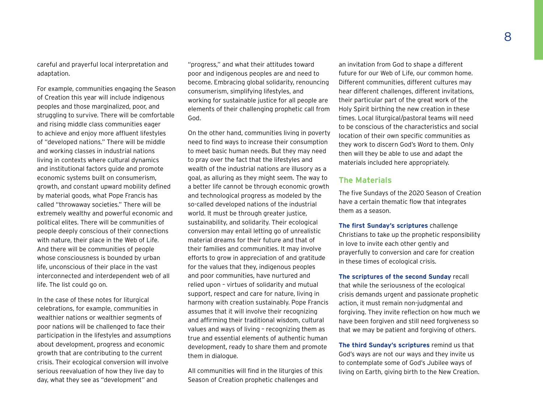careful and prayerful local interpretation and adaptation.

For example, communities engaging the Season of Creation this year will include indigenous peoples and those marginalized, poor, and struggling to survive. There will be comfortable and rising middle class communities eager to achieve and enjoy more affluent lifestyles of "developed nations." There will be middle and working classes in industrial nations living in contexts where cultural dynamics and institutional factors guide and promote economic systems built on consumerism, growth, and constant upward mobility defined by material goods, what Pope Francis has called "throwaway societies." There will be extremely wealthy and powerful economic and political elites. There will be communities of people deeply conscious of their connections with nature, their place in the Web of Life. And there will be communities of people whose consciousness is bounded by urban life, unconscious of their place in the vast interconnected and interdependent web of all life. The list could go on.

In the case of these notes for liturgical celebrations, for example, communities in wealthier nations or wealthier segments of poor nations will be challenged to face their participation in the lifestyles and assumptions about development, progress and economic growth that are contributing to the current crisis. Their ecological conversion will involve serious reevaluation of how they live day to day, what they see as "development" and

"progress," and what their attitudes toward poor and indigenous peoples are and need to become. Embracing global solidarity, renouncing consumerism, simplifying lifestyles, and working for sustainable justice for all people are elements of their challenging prophetic call from God.

On the other hand, communities living in poverty need to find ways to increase their consumption to meet basic human needs. But they may need to pray over the fact that the lifestyles and wealth of the industrial nations are illusory as a goal, as alluring as they might seem. The way to a better life cannot be through economic growth and technological progress as modeled by the so-called developed nations of the industrial world. It must be through greater justice, sustainability, and solidarity. Their ecological conversion may entail letting go of unrealistic material dreams for their future and that of their families and communities. It may involve efforts to grow in appreciation of and gratitude for the values that they, indigenous peoples and poor communities, have nurtured and relied upon – virtues of solidarity and mutual support, respect and care for nature, living in harmony with creation sustainably. Pope Francis assumes that it will involve their recognizing and affirming their traditional wisdom, cultural values and ways of living – recognizing them as true and essential elements of authentic human development, ready to share them and promote them in dialogue.

All communities will find in the liturgies of this Season of Creation prophetic challenges and

an invitation from God to shape a different future for our Web of Life, our common home. Different communities, different cultures may hear different challenges, different invitations, their particular part of the great work of the Holy Spirit birthing the new creation in these times. Local liturgical/pastoral teams will need to be conscious of the characteristics and social location of their own specific communities as they work to discern God's Word to them. Only then will they be able to use and adapt the materials included here appropriately.

### **The Materials**

The five Sundays of the 2020 Season of Creation have a certain thematic flow that integrates them as a season.

**The first Sunday's scriptures** challenge Christians to take up the prophetic responsibility in love to invite each other gently and prayerfully to conversion and care for creation in these times of ecological crisis.

**The scriptures of the second Sunday** recall that while the seriousness of the ecological crisis demands urgent and passionate prophetic action, it must remain non-judgmental and forgiving. They invite reflection on how much we have been forgiven and still need forgiveness so that we may be patient and forgiving of others.

**The third Sunday's scriptures** remind us that God's ways are not our ways and they invite us to contemplate some of God's Jubilee ways of living on Earth, giving birth to the New Creation.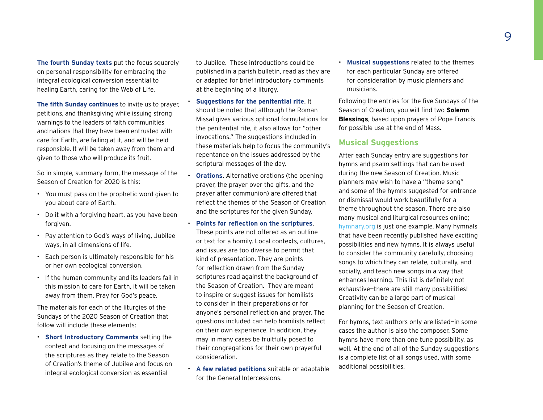**The fourth Sunday texts** put the focus squarely on personal responsibility for embracing the integral ecological conversion essential to healing Earth, caring for the Web of Life.

**The fifth Sunday continues** to invite us to prayer, petitions, and thanksgiving while issuing strong warnings to the leaders of faith communities and nations that they have been entrusted with care for Earth, are failing at it, and will be held responsible. It will be taken away from them and given to those who will produce its fruit.

So in simple, summary form, the message of the Season of Creation for 2020 is this:

- You must pass on the prophetic word given to you about care of Earth.
- Do it with a forgiving heart, as you have been forgiven.
- Pay attention to God's ways of living, Jubilee ways, in all dimensions of life.
- Each person is ultimately responsible for his or her own ecological conversion.
- If the human community and its leaders fail in this mission to care for Earth, it will be taken away from them. Pray for God's peace.

The materials for each of the liturgies of the Sundays of the 2020 Season of Creation that follow will include these elements:

• **Short Introductory Comments** setting the context and focusing on the messages of the scriptures as they relate to the Season of Creation's theme of Jubilee and focus on integral ecological conversion as essential

to Jubilee. These introductions could be published in a parish bulletin, read as they are or adapted for brief introductory comments at the beginning of a liturgy.

- **Suggestions for the penitential rite**. It should be noted that although the Roman Missal gives various optional formulations for the penitential rite, it also allows for "other invocations." The suggestions included in these materials help to focus the community's repentance on the issues addressed by the scriptural messages of the day.
- **Orations**. Alternative orations (the opening prayer, the prayer over the gifts, and the prayer after communion) are offered that reflect the themes of the Season of Creation and the scriptures for the given Sunday.
- **Points for reflection on the scriptures**. These points are not offered as an outline or text for a homily. Local contexts, cultures, and issues are too diverse to permit that kind of presentation. They are points for reflection drawn from the Sunday scriptures read against the background of the Season of Creation. They are meant to inspire or suggest issues for homilists to consider in their preparations or for anyone's personal reflection and prayer. The questions included can help homilists reflect on their own experience. In addition, they may in many cases be fruitfully posed to their congregations for their own prayerful consideration.
- **A few related petitions** suitable or adaptable for the General Intercessions.

• **Musical suggestions** related to the themes for each particular Sunday are offered for consideration by music planners and musicians.

Following the entries for the five Sundays of the Season of Creation, you will find two **[Solemn](#page-29-0)  [Blessings](#page-29-0)**, based upon prayers of Pope Francis for possible use at the end of Mass.

### **Musical Suggestions**

After each Sunday entry are suggestions for hymns and psalm settings that can be used during the new Season of Creation. Music planners may wish to have a "theme song" and some of the hymns suggested for entrance or dismissal would work beautifully for a theme throughout the season. There are also many musical and liturgical resources online; [hymnary.org](http://hymnary.org) is just one example. Many hymnals that have been recently published have exciting possibilities and new hymns. It is always useful to consider the community carefully, choosing songs to which they can relate, culturally, and socially, and teach new songs in a way that enhances learning. This list is definitely not exhaustive—there are still many possibilities! Creativity can be a large part of musical planning for the Season of Creation.

For hymns, text authors only are listed—in some cases the author is also the composer. Some hymns have more than one tune possibility, as well. At the end of all of the Sunday suggestions is a complete list of all songs used, with some additional possibilities.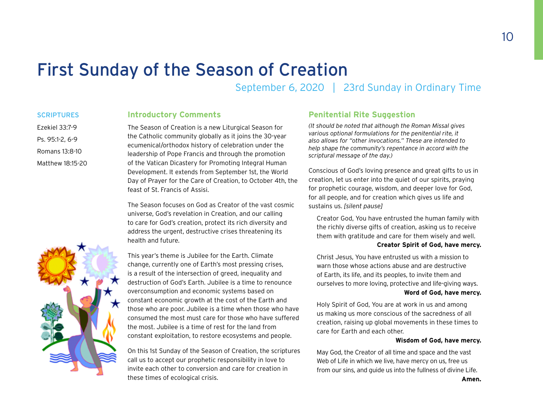### <span id="page-9-0"></span>First Sunday of the Season of Creation

September 6, 2020 | 23rd Sunday in Ordinary Time

### **SCRIPTURES** Ezekiel 33:7-9

Ps. 95:1-2, 6-9 Romans 13:8-10 Matthew 18:15-20

### **Introductory Comments**

The Season of Creation is a new Liturgical Season for the Catholic community globally as it joins the 30-year ecumenical/orthodox history of celebration under the leadership of Pope Francis and through the promotion of the Vatican Dicastery for Promoting Integral Human Development. It extends from September 1st, the World Day of Prayer for the Care of Creation, to October 4th, the feast of St. Francis of Assisi.

The Season focuses on God as Creator of the vast cosmic universe, God's revelation in Creation, and our calling to care for God's creation, protect its rich diversity and address the urgent, destructive crises threatening its health and future.

This year's theme is Jubilee for the Earth. Climate change, currently one of Earth's most pressing crises, is a result of the intersection of greed, inequality and destruction of God's Earth. Jubilee is a time to renounce overconsumption and economic systems based on constant economic growth at the cost of the Earth and those who are poor. Jubilee is a time when those who have consumed the most must care for those who have suffered the most. Jubilee is a time of rest for the land from constant exploitation, to restore ecosystems and people.

On this 1st Sunday of the Season of Creation, the scriptures call us to accept our prophetic responsibility in love to invite each other to conversion and care for creation in these times of ecological crisis.

### **Penitential Rite Suggestion**

*(It should be noted that although the Roman Missal gives various optional formulations for the penitential rite, it also allows for "other invocations." These are intended to help shape the community's repentance in accord with the scriptural message of the day.)*

Conscious of God's loving presence and great gifts to us in creation, let us enter into the quiet of our spirits, praying for prophetic courage, wisdom, and deeper love for God, for all people, and for creation which gives us life and sustains us. *[silent pause]*

Creator God, You have entrusted the human family with the richly diverse gifts of creation, asking us to receive them with gratitude and care for them wisely and well.

### **Creator Spirit of God, have mercy.**

Christ Jesus, You have entrusted us with a mission to warn those whose actions abuse and are destructive of Earth, its life, and its peoples, to invite them and ourselves to more loving, protective and life-giving ways. **Word of God, have mercy.**

Holy Spirit of God, You are at work in us and among us making us more conscious of the sacredness of all creation, raising up global movements in these times to care for Earth and each other.

#### **Wisdom of God, have mercy.**

May God, the Creator of all time and space and the vast Web of Life in which we live, have mercy on us, free us from our sins, and guide us into the fullness of divine Life.



10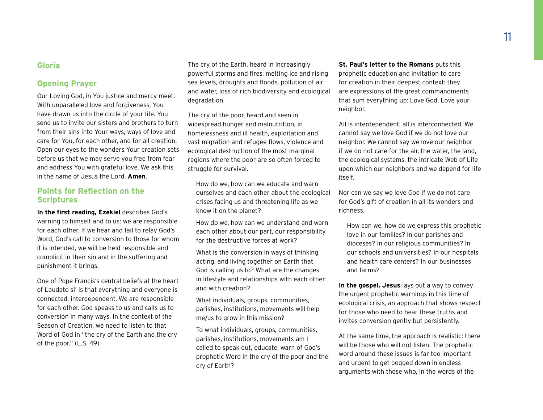### **Gloria**

### **Opening Prayer**

Our Loving God, in You justice and mercy meet. With unparalleled love and forgiveness, You have drawn us into the circle of your life. You send us to invite our sisters and brothers to turn from their sins into Your ways, ways of love and care for You, for each other, and for all creation. Open our eyes to the wonders Your creation sets before us that we may serve you free from fear and address You with grateful love. We ask this in the name of Jesus the Lord. **Amen**.

### **Points for Reflection on the Scriptures**

**In the first reading, Ezekiel** describes God's warning to himself and to us: we are responsible for each other. If we hear and fail to relay God's Word, God's call to conversion to those for whom it is intended, we will be held responsible and complicit in their sin and in the suffering and punishment it brings.

One of Pope Francis's central beliefs at the heart of Laudato si' is that everything and everyone is connected, interdependent. We are responsible for each other. God speaks to us and calls us to conversion in many ways. In the context of the Season of Creation, we need to listen to that Word of God in "the cry of the Earth and the cry of the poor." (L.S. 49)

The cry of the Earth, heard in increasingly powerful storms and fires, melting ice and rising sea levels, droughts and floods, pollution of air and water, loss of rich biodiversity and ecological degradation.

The cry of the poor, heard and seen in widespread hunger and malnutrition, in homelessness and ill health, exploitation and vast migration and refugee flows, violence and ecological destruction of the most marginal regions where the poor are so often forced to struggle for survival.

How do we, how can we educate and warn ourselves and each other about the ecological crises facing us and threatening life as we know it on the planet?

How do we, how can we understand and warn each other about our part, our responsibility for the destructive forces at work?

What is the conversion in ways of thinking, acting, and living together on Earth that God is calling us to? What are the changes in lifestyle and relationships with each other and with creation?

What individuals, groups, communities, parishes, institutions, movements will help me/us to grow in this mission?

To what individuals, groups, communities, parishes, institutions, movements am I called to speak out, educate, warn of God's prophetic Word in the cry of the poor and the cry of Earth?

**St. Paul's letter to the Romans** puts this prophetic education and invitation to care for creation in their deepest context: they are expressions of the great commandments that sum everything up: Love God. Love your neighbor.

All is interdependent, all is interconnected. We cannot say we love God if we do not love our neighbor. We cannot say we love our neighbor if we do not care for the air, the water, the land, the ecological systems, the intricate Web of Life upon which our neighbors and we depend for life itself.

Nor can we say we love God if we do not care for God's gift of creation in all its wonders and richness.

How can we, how do we express this prophetic love in our families? In our parishes and dioceses? In our religious communities? In our schools and universities? In our hospitals and health care centers? In our businesses and farms?

**In the gospel, Jesus** lays out a way to convey the urgent prophetic warnings in this time of ecological crisis, an approach that shows respect for those who need to hear these truths and invites conversion gently but persistently.

At the same time, the approach is realistic: there will be those who will not listen. The prophetic word around these issues is far too important and urgent to get bogged down in endless arguments with those who, in the words of the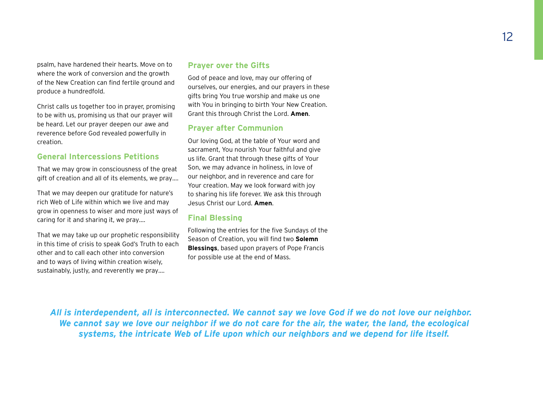psalm, have hardened their hearts. Move on to where the work of conversion and the growth of the New Creation can find fertile ground and produce a hundredfold.

Christ calls us together too in prayer, promising to be with us, promising us that our prayer will be heard. Let our prayer deepen our awe and reverence before God revealed powerfully in creation.

### **General Intercessions Petitions**

That we may grow in consciousness of the great gift of creation and all of its elements, we pray….

That we may deepen our gratitude for nature's rich Web of Life within which we live and may grow in openness to wiser and more just ways of caring for it and sharing it, we pray….

That we may take up our prophetic responsibility in this time of crisis to speak God's Truth to each other and to call each other into conversion and to ways of living within creation wisely, sustainably, justly, and reverently we pray….

### **Prayer over the Gifts**

God of peace and love, may our offering of ourselves, our energies, and our prayers in these gifts bring You true worship and make us one with You in bringing to birth Your New Creation. Grant this through Christ the Lord. **Amen**.

### **Prayer after Communion**

Our loving God, at the table of Your word and sacrament, You nourish Your faithful and give us life. Grant that through these gifts of Your Son, we may advance in holiness, in love of our neighbor, and in reverence and care for Your creation. May we look forward with joy to sharing his life forever. We ask this through Jesus Christ our Lord. **Amen**.

### **Final Blessing**

Following the entries for the five Sundays of the Season of Creation, you will find two **Solemn Blessings**, based upon prayers of Pope Francis for possible use at the end of Mass.

*All is interdependent, all is interconnected. We cannot say we love God if we do not love our neighbor. We cannot say we love our neighbor if we do not care for the air, the water, the land, the ecological systems, the intricate Web of Life upon which our neighbors and we depend for life itself.*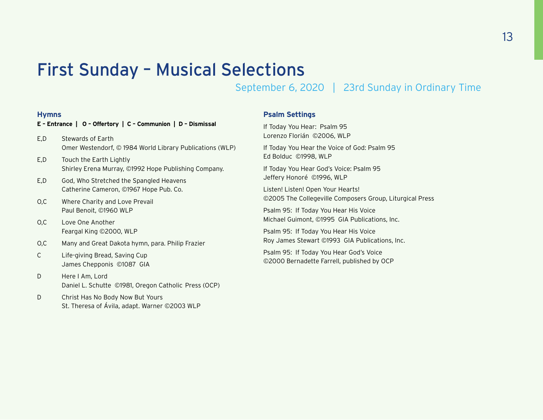### First Sunday – Musical Selections

September 6, 2020 | 23rd Sunday in Ordinary Time

### **Hymns**

### **E – Entrance | O – Offertory | C – Communion | D – Dismissal**  E,D Stewards of Earth Omer Westendorf, © 1984 World Library Publications (WLP)

- E,D Touch the Earth Lightly Shirley Erena Murray, ©1992 Hope Publishing Company.
- E,D God, Who Stretched the Spangled Heavens Catherine Cameron, ©1967 Hope Pub. Co.
- O,C Where Charity and Love Prevail Paul Benoit, ©1960 WLP
- O,C Love One Another Feargal King ©2000, WLP
- O,C Many and Great Dakota hymn, para. Philip Frazier
- C Life-giving Bread, Saving Cup James Chepponis ©1087 GIA
- D Here I Am, Lord Daniel L. Schutte ©1981, Oregon Catholic Press (OCP)
- D Christ Has No Body Now But Yours St. Theresa of Ávila, adapt. Warner ©2003 WLP

### **Psalm Settings**

If Today You Hear: Psalm 95 Lorenzo Florián ©2006, WLP

If Today You Hear the Voice of God: Psalm 95 Ed Bolduc ©1998, WLP

If Today You Hear God's Voice: Psalm 95 Jeffery Honoré ©1996, WLP

Listen! Listen! Open Your Hearts! ©2005 The Collegeville Composers Group, Liturgical Press

Psalm 95: If Today You Hear His Voice Michael Guimont, ©1995 GIA Publications, Inc.

Psalm 95: If Today You Hear His Voice Roy James Stewart ©1993 GIA Publications, Inc.

Psalm 95: If Today You Hear God's Voice ©2000 Bernadette Farrell, published by OCP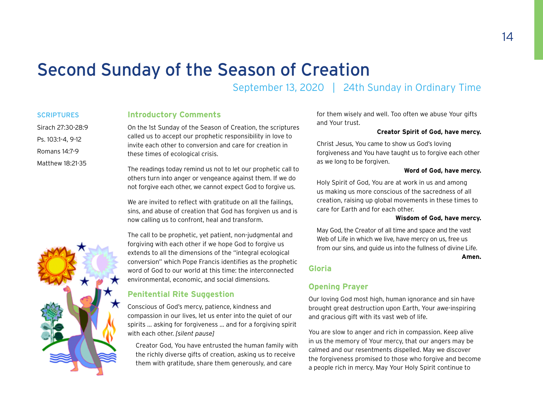### <span id="page-13-0"></span>Second Sunday of the Season of Creation

September 13, 2020 | 24th Sunday in Ordinary Time

### **SCRIPTURES**

Sirach 27:30-28:9 Ps. 103:1-4, 9-12 Romans 14:7-9 Matthew 18:21-35

### **Introductory Comments**

On the 1st Sunday of the Season of Creation, the scriptures called us to accept our prophetic responsibility in love to invite each other to conversion and care for creation in these times of ecological crisis.

The readings today remind us not to let our prophetic call to others turn into anger or vengeance against them. If we do not forgive each other, we cannot expect God to forgive us.

We are invited to reflect with gratitude on all the failings, sins, and abuse of creation that God has forgiven us and is now calling us to confront, heal and transform.

The call to be prophetic, yet patient, non-judgmental and forgiving with each other if we hope God to forgive us extends to all the dimensions of the "integral ecological conversion" which Pope Francis identifies as the prophetic word of God to our world at this time: the interconnected environmental, economic, and social dimensions.

### **Penitential Rite Suggestion**

Conscious of God's mercy, patience, kindness and compassion in our lives, let us enter into the quiet of our spirits … asking for forgiveness … and for a forgiving spirit with each other. *[silent pause]*

Creator God, You have entrusted the human family with the richly diverse gifts of creation, asking us to receive them with gratitude, share them generously, and care

for them wisely and well. Too often we abuse Your gifts and Your trust.

### **Creator Spirit of God, have mercy.**

Christ Jesus, You came to show us God's loving forgiveness and You have taught us to forgive each other as we long to be forgiven.

#### **Word of God, have mercy.**

Holy Spirit of God, You are at work in us and among us making us more conscious of the sacredness of all creation, raising up global movements in these times to care for Earth and for each other.

#### **Wisdom of God, have mercy.**

May God, the Creator of all time and space and the vast Web of Life in which we live, have mercy on us, free us from our sins, and guide us into the fullness of divine Life.

**Amen.**

### **Gloria**

### **Opening Prayer**

Our loving God most high, human ignorance and sin have brought great destruction upon Earth, Your awe-inspiring and gracious gift with its vast web of life.

You are slow to anger and rich in compassion. Keep alive in us the memory of Your mercy, that our angers may be calmed and our resentments dispelled. May we discover the forgiveness promised to those who forgive and become a people rich in mercy. May Your Holy Spirit continue to

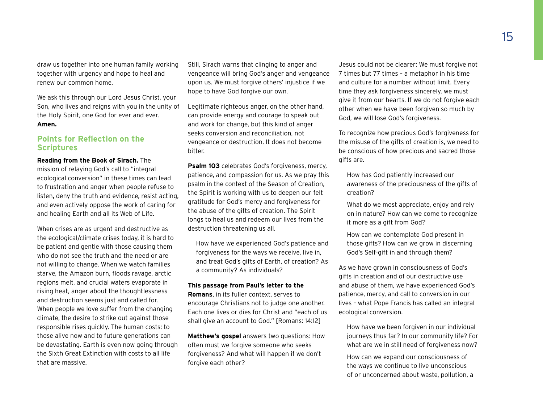draw us together into one human family working together with urgency and hope to heal and renew our common home.

We ask this through our Lord Jesus Christ, your Son, who lives and reigns with you in the unity of the Holy Spirit, one God for ever and ever. **Amen.**

### **Points for Reflection on the Scriptures**

### **Reading from the Book of Sirach.** The

mission of relaying God's call to "integral ecological conversion" in these times can lead to frustration and anger when people refuse to listen, deny the truth and evidence, resist acting, and even actively oppose the work of caring for and healing Earth and all its Web of Life.

When crises are as urgent and destructive as the ecological/climate crises today, it is hard to be patient and gentle with those causing them who do not see the truth and the need or are not willing to change. When we watch families starve, the Amazon burn, floods ravage, arctic regions melt, and crucial waters evaporate in rising heat, anger about the thoughtlessness and destruction seems just and called for. When people we love suffer from the changing climate, the desire to strike out against those responsible rises quickly. The human costs: to those alive now and to future generations can be devastating. Earth is even now going through the Sixth Great Extinction with costs to all life that are massive.

Still, Sirach warns that clinging to anger and vengeance will bring God's anger and vengeance upon us. We must forgive others' injustice if we hope to have God forgive our own.

Legitimate righteous anger, on the other hand, can provide energy and courage to speak out and work for change, but this kind of anger seeks conversion and reconciliation, not vengeance or destruction. It does not become bitter.

**Psalm 103** celebrates God's forgiveness, mercy, patience, and compassion for us. As we pray this psalm in the context of the Season of Creation, the Spirit is working with us to deepen our felt gratitude for God's mercy and forgiveness for the abuse of the gifts of creation. The Spirit longs to heal us and redeem our lives from the destruction threatening us all.

How have we experienced God's patience and forgiveness for the ways we receive, live in, and treat God's gifts of Earth, of creation? As a community? As individuals?

#### **This passage from Paul's letter to the**

**Romans**, in its fuller context, serves to encourage Christians not to judge one another. Each one lives or dies for Christ and "each of us shall give an account to God." [Romans: 14:12]

**Matthew's gospel** answers two questions: How often must we forgive someone who seeks forgiveness? And what will happen if we don't forgive each other?

Jesus could not be clearer: We must forgive not 7 times but 77 times – a metaphor in his time and culture for a number without limit. Every time they ask forgiveness sincerely, we must give it from our hearts. If we do not forgive each other when we have been forgiven so much by God, we will lose God's forgiveness.

To recognize how precious God's forgiveness for the misuse of the gifts of creation is, we need to be conscious of how precious and sacred those gifts are.

How has God patiently increased our awareness of the preciousness of the gifts of creation?

What do we most appreciate, enjoy and rely on in nature? How can we come to recognize it more as a gift from God?

How can we contemplate God present in those gifts? How can we grow in discerning God's Self-gift in and through them?

As we have grown in consciousness of God's gifts in creation and of our destructive use and abuse of them, we have experienced God's patience, mercy, and call to conversion in our lives – what Pope Francis has called an integral ecological conversion.

How have we been forgiven in our individual journeys thus far? In our community life? For what are we in still need of forgiveness now?

How can we expand our consciousness of the ways we continue to live unconscious of or unconcerned about waste, pollution, a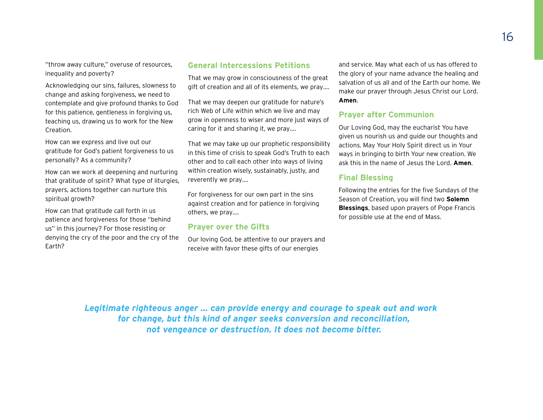"throw away culture," overuse of resources, inequality and poverty?

Acknowledging our sins, failures, slowness to change and asking forgiveness, we need to contemplate and give profound thanks to God for this patience, gentleness in forgiving us, teaching us, drawing us to work for the New Creation.

How can we express and live out our gratitude for God's patient forgiveness to us personally? As a community?

How can we work at deepening and nurturing that gratitude of spirit? What type of liturgies, prayers, actions together can nurture this spiritual growth?

How can that gratitude call forth in us patience and forgiveness for those "behind us" in this journey? For those resisting or denying the cry of the poor and the cry of the Earth?

### **General Intercessions Petitions**

That we may grow in consciousness of the great gift of creation and all of its elements, we pray….

That we may deepen our gratitude for nature's rich Web of Life within which we live and may grow in openness to wiser and more just ways of caring for it and sharing it, we pray….

That we may take up our prophetic responsibility in this time of crisis to speak God's Truth to each other and to call each other into ways of living within creation wisely, sustainably, justly, and reverently we pray….

For forgiveness for our own part in the sins against creation and for patience in forgiving others, we pray….

### **Prayer over the Gifts**

Our loving God, be attentive to our prayers and receive with favor these gifts of our energies

and service. May what each of us has offered to the glory of your name advance the healing and salvation of us all and of the Earth our home. We make our prayer through Jesus Christ our Lord. **Amen**.

### **Prayer after Communion**

Our Loving God, may the eucharist You have given us nourish us and guide our thoughts and actions. May Your Holy Spirit direct us in Your ways in bringing to birth Your new creation. We ask this in the name of Jesus the Lord. **Amen**.

### **Final Blessing**

Following the entries for the five Sundays of the Season of Creation, you will find two **Solemn Blessings**, based upon prayers of Pope Francis for possible use at the end of Mass.

*Legitimate righteous anger ... can provide energy and courage to speak out and work for change, but this kind of anger seeks conversion and reconciliation, not vengeance or destruction. It does not become bitter.*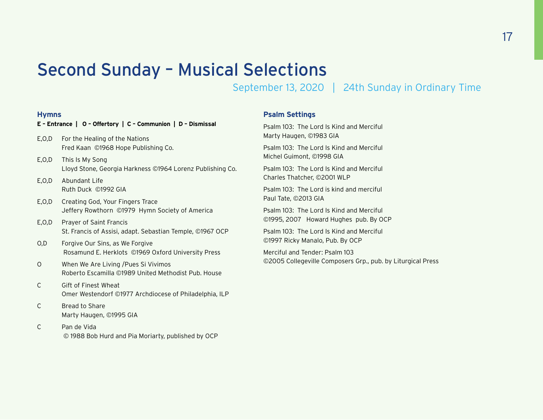### Second Sunday – Musical Selections

September 13, 2020 | 24th Sunday in Ordinary Time

### **Hymns**

### **E – Entrance | O – Offertory | C – Communion | D – Dismissal**

- E,O,D For the Healing of the Nations Fred Kaan ©1968 Hope Publishing Co.
- E,O,D This Is My Song Lloyd Stone, Georgia Harkness ©1964 Lorenz Publishing Co.
- E,O,D Abundant Life Ruth Duck ©1992 GIA
- E,O,D Creating God, Your Fingers Trace Jeffery Rowthorn ©1979 Hymn Society of America
- E,O,D Prayer of Saint Francis St. Francis of Assisi, adapt. Sebastian Temple, ©1967 OCP
- O,D Forgive Our Sins, as We Forgive Rosamund E. Herklots ©1969 Oxford University Press
- O When We Are Living /Pues Si Vivimos Roberto Escamilla ©1989 United Methodist Pub. House
- C Gift of Finest Wheat Omer Westendorf ©1977 Archdiocese of Philadelphia, ILP
- C Bread to Share Marty Haugen, ©1995 GIA
- C Pan de Vida © 1988 Bob Hurd and Pia Moriarty, published by OCP

### **Psalm Settings**

Psalm 103: The Lord Is Kind and Merciful Marty Haugen, ©1983 GIA

Psalm 103: The Lord Is Kind and Merciful Michel Guimont, ©1998 GIA

Psalm 103: The Lord Is Kind and Merciful Charles Thatcher, ©2001 WLP

Psalm 103: The Lord is kind and merciful Paul Tate, ©2013 GIA

Psalm 103: The Lord Is Kind and Merciful ©1995, 2007 Howard Hughes pub. By OCP

Psalm 103: The Lord Is Kind and Merciful ©1997 Ricky Manalo, Pub. By OCP

Merciful and Tender: Psalm 103 ©2005 Collegeville Composers Grp., pub. by Liturgical Press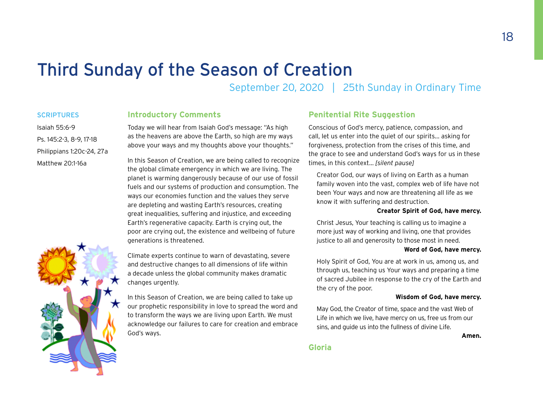### <span id="page-17-0"></span>Third Sunday of the Season of Creation

September 20, 2020 | 25th Sunday in Ordinary Time

### **SCRIPTURES**

### **Introductory Comments**

Isaiah 55:6-9 Ps. 145:2-3, 8-9, 17-18 Philippians 1:20c-24, 27a Matthew 20:1-16a

Today we will hear from Isaiah God's message: "As high as the heavens are above the Earth, so high are my ways above your ways and my thoughts above your thoughts."

In this Season of Creation, we are being called to recognize the global climate emergency in which we are living. The planet is warming dangerously because of our use of fossil fuels and our systems of production and consumption. The ways our economies function and the values they serve are depleting and wasting Earth's resources, creating great inequalities, suffering and injustice, and exceeding Earth's regenerative capacity. Earth is crying out, the poor are crying out, the existence and wellbeing of future generations is threatened.

Climate experts continue to warn of devastating, severe and destructive changes to all dimensions of life within a decade unless the global community makes dramatic changes urgently.

In this Season of Creation, we are being called to take up our prophetic responsibility in love to spread the word and to transform the ways we are living upon Earth. We must acknowledge our failures to care for creation and embrace God's ways.

### **Penitential Rite Suggestion**

Conscious of God's mercy, patience, compassion, and call, let us enter into the quiet of our spirits… asking for forgiveness, protection from the crises of this time, and the grace to see and understand God's ways for us in these times, in this context… *[silent pause]*

Creator God, our ways of living on Earth as a human family woven into the vast, complex web of life have not been Your ways and now are threatening all life as we know it with suffering and destruction.

### **Creator Spirit of God, have mercy.**

Christ Jesus, Your teaching is calling us to imagine a more just way of working and living, one that provides justice to all and generosity to those most in need.

#### **Word of God, have mercy.**

Holy Spirit of God, You are at work in us, among us, and through us, teaching us Your ways and preparing a time of sacred Jubilee in response to the cry of the Earth and the cry of the poor.

#### **Wisdom of God, have mercy.**

May God, the Creator of time, space and the vast Web of Life in which we live, have mercy on us, free us from our sins, and guide us into the fullness of divine Life.

**Amen.**

### **Gloria**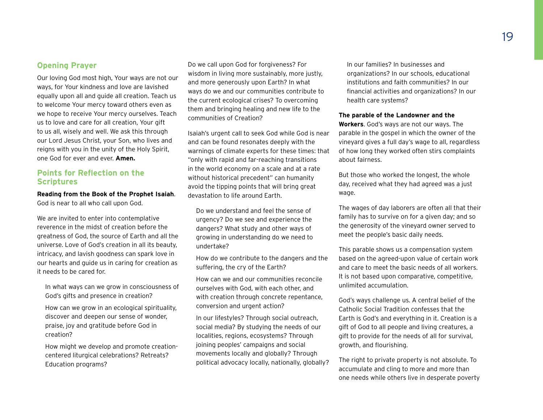### **Opening Prayer**

Our loving God most high, Your ways are not our ways, for Your kindness and love are lavished equally upon all and guide all creation. Teach us to welcome Your mercy toward others even as we hope to receive Your mercy ourselves. Teach us to love and care for all creation, Your gift to us all, wisely and well. We ask this through our Lord Jesus Christ, your Son, who lives and reigns with you in the unity of the Holy Spirit, one God for ever and ever. **Amen.**

### **Points for Reflection on the Scriptures**

**Reading from the Book of the Prophet Isaiah**. God is near to all who call upon God.

We are invited to enter into contemplative reverence in the midst of creation before the greatness of God, the source of Earth and all the universe. Love of God's creation in all its beauty, intricacy, and lavish goodness can spark love in our hearts and guide us in caring for creation as it needs to be cared for.

In what ways can we grow in consciousness of God's gifts and presence in creation?

How can we grow in an ecological spirituality, discover and deepen our sense of wonder, praise, joy and gratitude before God in creation?

How might we develop and promote creationcentered liturgical celebrations? Retreats? Education programs?

Do we call upon God for forgiveness? For wisdom in living more sustainably, more justly, and more generously upon Earth? In what ways do we and our communities contribute to the current ecological crises? To overcoming them and bringing healing and new life to the communities of Creation?

Isaiah's urgent call to seek God while God is near and can be found resonates deeply with the warnings of climate experts for these times: that "only with rapid and far-reaching transitions in the world economy on a scale and at a rate without historical precedent" can humanity avoid the tipping points that will bring great devastation to life around Earth.

Do we understand and feel the sense of urgency? Do we see and experience the dangers? What study and other ways of growing in understanding do we need to undertake?

How do we contribute to the dangers and the suffering, the cry of the Earth?

How can we and our communities reconcile ourselves with God, with each other, and with creation through concrete repentance, conversion and urgent action?

In our lifestyles? Through social outreach, social media? By studying the needs of our localities, regions, ecosystems? Through joining peoples' campaigns and social movements locally and globally? Through political advocacy locally, nationally, globally?

In our families? In businesses and organizations? In our schools, educational institutions and faith communities? In our financial activities and organizations? In our health care systems?

### **The parable of the Landowner and the**

**Workers**. God's ways are not our ways. The parable in the gospel in which the owner of the vineyard gives a full day's wage to all, regardless of how long they worked often stirs complaints about fairness.

But those who worked the longest, the whole day, received what they had agreed was a just wage.

The wages of day laborers are often all that their family has to survive on for a given day; and so the generosity of the vineyard owner served to meet the people's basic daily needs.

This parable shows us a compensation system based on the agreed-upon value of certain work and care to meet the basic needs of all workers. It is not based upon comparative, competitive, unlimited accumulation.

God's ways challenge us. A central belief of the Catholic Social Tradition confesses that the Earth is God's and everything in it. Creation is a gift of God to all people and living creatures, a gift to provide for the needs of all for survival, growth, and flourishing.

The right to private property is not absolute. To accumulate and cling to more and more than one needs while others live in desperate poverty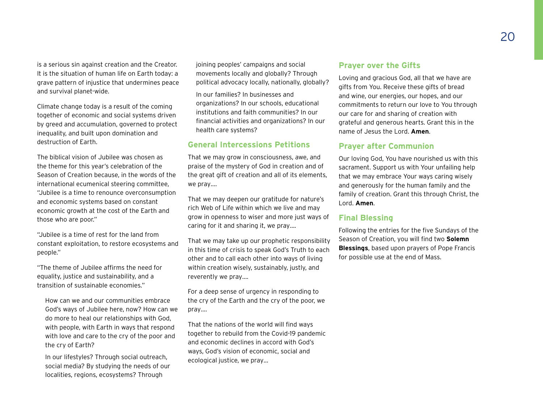is a serious sin against creation and the Creator. It is the situation of human life on Earth today: a grave pattern of injustice that undermines peace and survival planet-wide.

Climate change today is a result of the coming together of economic and social systems driven by greed and accumulation, governed to protect inequality, and built upon domination and destruction of Earth.

The biblical vision of Jubilee was chosen as the theme for this year's celebration of the Season of Creation because, in the words of the international ecumenical steering committee, "Jubilee is a time to renounce overconsumption and economic systems based on constant economic growth at the cost of the Earth and those who are poor."

"Jubilee is a time of rest for the land from constant exploitation, to restore ecosystems and people."

"The theme of Jubilee affirms the need for equality, justice and sustainability, and a transition of sustainable economies."

How can we and our communities embrace God's ways of Jubilee here, now? How can we do more to heal our relationships with God, with people, with Earth in ways that respond with love and care to the cry of the poor and the cry of Earth?

In our lifestyles? Through social outreach, social media? By studying the needs of our localities, regions, ecosystems? Through

joining peoples' campaigns and social movements locally and globally? Through political advocacy locally, nationally, globally?

In our families? In businesses and organizations? In our schools, educational institutions and faith communities? In our financial activities and organizations? In our health care systems?

### **General Intercessions Petitions**

That we may grow in consciousness, awe, and praise of the mystery of God in creation and of the great gift of creation and all of its elements, we pray….

That we may deepen our gratitude for nature's rich Web of Life within which we live and may grow in openness to wiser and more just ways of caring for it and sharing it, we pray….

That we may take up our prophetic responsibility in this time of crisis to speak God's Truth to each other and to call each other into ways of living within creation wisely, sustainably, justly, and reverently we pray….

For a deep sense of urgency in responding to the cry of the Earth and the cry of the poor, we pray….

That the nations of the world will find ways together to rebuild from the Covid-19 pandemic and economic declines in accord with God's ways, God's vision of economic, social and ecological justice, we pray…

### **Prayer over the Gifts**

Loving and gracious God, all that we have are gifts from You. Receive these gifts of bread and wine, our energies, our hopes, and our commitments to return our love to You through our care for and sharing of creation with grateful and generous hearts. Grant this in the name of Jesus the Lord. **Amen**.

### **Prayer after Communion**

Our loving God, You have nourished us with this sacrament. Support us with Your unfailing help that we may embrace Your ways caring wisely and generously for the human family and the family of creation. Grant this through Christ, the Lord. **Amen**.

### **Final Blessing**

Following the entries for the five Sundays of the Season of Creation, you will find two **Solemn Blessings**, based upon prayers of Pope Francis for possible use at the end of Mass.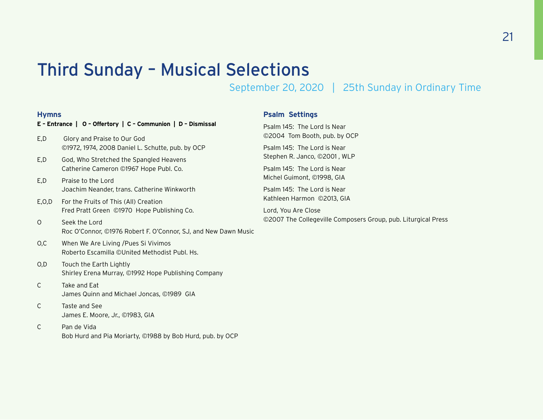### Third Sunday – Musical Selections

September 20, 2020 | 25th Sunday in Ordinary Time

### **Hymns**

### **E – Entrance | O – Offertory | C – Communion | D – Dismissal**

- E,D Glory and Praise to Our God ©1972, 1974, 2008 Daniel L. Schutte, pub. by OCP
- E,D God, Who Stretched the Spangled Heavens Catherine Cameron ©1967 Hope Publ. Co.
- E,D Praise to the Lord Joachim Neander, trans. Catherine Winkworth
- E,O,D For the Fruits of This (All) Creation Fred Pratt Green ©1970 Hope Publishing Co.
- O Seek the Lord Roc O'Connor, ©1976 Robert F. O'Connor, SJ, and New Dawn Music
- O,C When We Are Living /Pues Si Vivimos Roberto Escamilla ©United Methodist Publ. Hs.
- O,D Touch the Earth Lightly Shirley Erena Murray, ©1992 Hope Publishing Company
- C Take and Eat James Quinn and Michael Joncas, ©1989 GIA
- C Taste and See James E. Moore, Jr., ©1983, GIA
- C Pan de Vida Bob Hurd and Pia Moriarty, ©1988 by Bob Hurd, pub. by OCP

### **Psalm Settings**

Psalm 145: The Lord Is Near ©2004 Tom Booth, pub. by OCP Psalm 145: The Lord is Near Stephen R. Janco, ©2001 , WLP Psalm 145: The Lord is Near Michel Guimont, ©1998, GIA Psalm 145: The Lord is Near Kathleen Harmon ©2013, GIA Lord, You Are Close

©2007 The Collegeville Composers Group, pub. Liturgical Press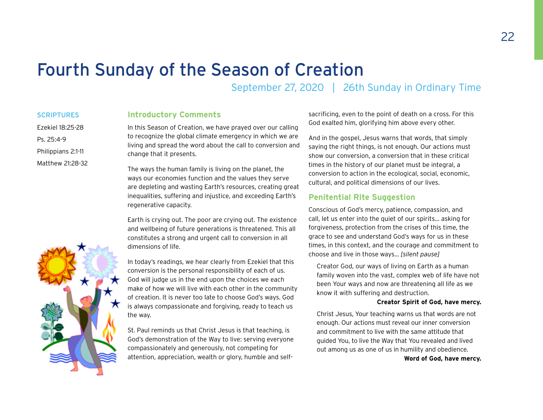### <span id="page-21-0"></span>Fourth Sunday of the Season of Creation

September 27, 2020 | 26th Sunday in Ordinary Time

### **SCRIPTURES** Ezekiel 18:25-28

Philippians 2:1-11 Matthew 21:28-32

Ps. 25:4-9

### **Introductory Comments**

In this Season of Creation, we have prayed over our calling to recognize the global climate emergency in which we are living and spread the word about the call to conversion and change that it presents.

The ways the human family is living on the planet, the ways our economies function and the values they serve are depleting and wasting Earth's resources, creating great inequalities, suffering and injustice, and exceeding Earth's regenerative capacity.

Earth is crying out. The poor are crying out. The existence and wellbeing of future generations is threatened. This all constitutes a strong and urgent call to conversion in all dimensions of life.

In today's readings, we hear clearly from Ezekiel that this conversion is the personal responsibility of each of us. God will judge us in the end upon the choices we each make of how we will live with each other in the community of creation. It is never too late to choose God's ways. God is always compassionate and forgiving, ready to teach us the way.

St. Paul reminds us that Christ Jesus is that teaching, is God's demonstration of the Way to live: serving everyone compassionately and generously, not competing for attention, appreciation, wealth or glory, humble and selfsacrificing, even to the point of death on a cross. For this God exalted him, glorifying him above every other.

And in the gospel, Jesus warns that words, that simply saying the right things, is not enough. Our actions must show our conversion, a conversion that in these critical times in the history of our planet must be integral, a conversion to action in the ecological, social, economic, cultural, and political dimensions of our lives.

### **Penitential Rite Suggestion**

Conscious of God's mercy, patience, compassion, and call, let us enter into the quiet of our spirits… asking for forgiveness, protection from the crises of this time, the grace to see and understand God's ways for us in these times, in this context, and the courage and commitment to choose and live in those ways… *[silent pause]*

Creator God, our ways of living on Earth as a human family woven into the vast, complex web of life have not been Your ways and now are threatening all life as we know it with suffering and destruction.

#### **Creator Spirit of God, have mercy.**

Christ Jesus, Your teaching warns us that words are not enough. Our actions must reveal our inner conversion and commitment to live with the same attitude that guided You, to live the Way that You revealed and lived out among us as one of us in humility and obedience.

**Word of God, have mercy.**

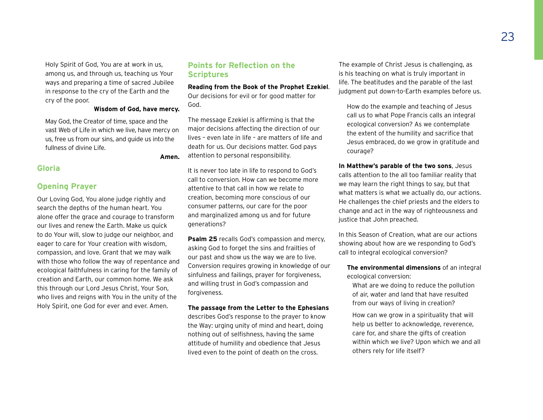Holy Spirit of God, You are at work in us, among us, and through us, teaching us Your ways and preparing a time of sacred Jubilee in response to the cry of the Earth and the cry of the poor.

### **Wisdom of God, have mercy.**

May God, the Creator of time, space and the vast Web of Life in which we live, have mercy on us, free us from our sins, and guide us into the fullness of divine Life.

### **Amen.**

### **Gloria**

### **Opening Prayer**

Our Loving God, You alone judge rightly and search the depths of the human heart. You alone offer the grace and courage to transform our lives and renew the Earth. Make us quick to do Your will, slow to judge our neighbor, and eager to care for Your creation with wisdom, compassion, and love. Grant that we may walk with those who follow the way of repentance and ecological faithfulness in caring for the family of creation and Earth, our common home. We ask this through our Lord Jesus Christ, Your Son, who lives and reigns with You in the unity of the Holy Spirit, one God for ever and ever. Amen.

### **Points for Reflection on the Scriptures**

### **Reading from the Book of the Prophet Ezekiel**.

Our decisions for evil or for good matter for God.

The message Ezekiel is affirming is that the major decisions affecting the direction of our lives – even late in life – are matters of life and death for us. Our decisions matter. God pays attention to personal responsibility.

It is never too late in life to respond to God's call to conversion. How can we become more attentive to that call in how we relate to creation, becoming more conscious of our consumer patterns, our care for the poor and marginalized among us and for future generations?

**Psalm 25** recalls God's compassion and mercy, asking God to forget the sins and frailties of our past and show us the way we are to live. Conversion requires growing in knowledge of our sinfulness and failings, prayer for forgiveness, and willing trust in God's compassion and forgiveness.

### **The passage from the Letter to the Ephesians**

describes God's response to the prayer to know the Way: urging unity of mind and heart, doing nothing out of selfishness, having the same attitude of humility and obedience that Jesus lived even to the point of death on the cross.

The example of Christ Jesus is challenging, as is his teaching on what is truly important in life. The beatitudes and the parable of the last judgment put down-to-Earth examples before us.

How do the example and teaching of Jesus call us to what Pope Francis calls an integral ecological conversion? As we contemplate the extent of the humility and sacrifice that Jesus embraced, do we grow in gratitude and courage?

**In Matthew's parable of the two sons**, Jesus calls attention to the all too familiar reality that we may learn the right things to say, but that what matters is what we actually do, our actions. He challenges the chief priests and the elders to change and act in the way of righteousness and justice that John preached.

In this Season of Creation, what are our actions showing about how are we responding to God's call to integral ecological conversion?

**The environmental dimensions** of an integral ecological conversion:

What are we doing to reduce the pollution of air, water and land that have resulted from our ways of living in creation?

How can we grow in a spirituality that will help us better to acknowledge, reverence, care for, and share the gifts of creation within which we live? Upon which we and all others rely for life itself?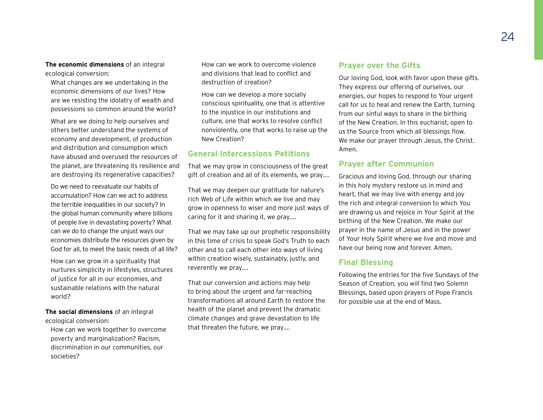**The economic dimensions** of an integral ecological conversion:

What changes are we undertaking in the economic dimensions of our lives? How are we resisting the idolatry of wealth and possessions so common around the world?

What are we doing to help ourselves and others better understand the systems of economy and development, of production and distribution and consumption which have abused and overused the resources of the planet, are threatening its resilience and are destroying its regenerative capacities?

Do we need to reevaluate our habits of accumulation? How can we act to address the terrible inequalities in our society? In the global human community where billions of people live in devastating poverty? What can we do to change the unjust ways our economies distribute the resources given by God for all, to meet the basic needs of all life?

How can we grow in a spirituality that nurtures simplicity in lifestyles, structures of justice for all in our economies, and sustainable relations with the natural world?

**The social dimensions** of an integral ecological conversion:

How can we work together to overcome poverty and marginalization? Racism, discrimination in our communities, our societies?

How can we work to overcome violence and divisions that lead to conflict and destruction of creation?

How can we develop a more socially conscious spirituality, one that is attentive to the injustice in our institutions and culture, one that works to resolve conflict nonviolently, one that works to raise up the New Creation?

### **General Intercessions Petitions**

That we may grow in consciousness of the great gift of creation and all of its elements, we pray….

That we may deepen our gratitude for nature's rich Web of Life within which we live and may grow in openness to wiser and more just ways of caring for it and sharing it, we pray….

That we may take up our prophetic responsibility in this time of crisis to speak God's Truth to each other and to call each other into ways of living within creation wisely, sustainably, justly, and reverently we pray….

That our conversion and actions may help to bring about the urgent and far-reaching transformations all around Earth to restore the health of the planet and prevent the dramatic climate changes and grave devastation to life that threaten the future, we pray….

### **Prayer over the Gifts**

Our loving God, look with favor upon these gifts. They express our offering of ourselves, our energies, our hopes to respond to Your urgent call for us to heal and renew the Earth, turning from our sinful ways to share in the birthing of the New Creation. In this eucharist, open to us the Source from which all blessings flow. We make our prayer through Jesus, the Christ. Amen.

### **Prayer after Communion**

Gracious and loving God, through our sharing in this holy mystery restore us in mind and heart, that we may live with energy and joy the rich and integral conversion to which You are drawing us and rejoice in Your Spirit at the birthing of the New Creation. We make our prayer in the name of Jesus and in the power of Your Holy Spirit where we live and move and have our being now and forever. Amen.

### **Final Blessing**

Following the entries for the five Sundays of the Season of Creation, you will find two Solemn Blessings, based upon prayers of Pope Francis for possible use at the end of Mass.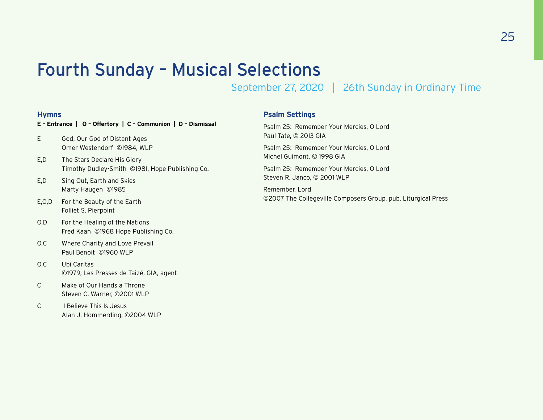### Fourth Sunday – Musical Selections

September 27, 2020 | 26th Sunday in Ordinary Time

### **Hymns**

### **E – Entrance | O – Offertory | C – Communion | D – Dismissal**

- E God, Our God of Distant Ages Omer Westendorf ©1984, WLP
- E,D The Stars Declare His Glory Timothy Dudley-Smith ©1981, Hope Publishing Co.
- E,D Sing Out, Earth and Skies Marty Haugen ©1985
- E,O,D For the Beauty of the Earth Folliet S. Pierpoint
- O,D For the Healing of the Nations Fred Kaan ©1968 Hope Publishing Co.
- O,C Where Charity and Love Prevail Paul Benoit ©1960 WLP
- O,C Ubi Caritas ©1979, Les Presses de Taizé, GIA, agent
- C Make of Our Hands a Throne Steven C. Warner, ©2001 WLP
- C I Believe This Is Jesus Alan J. Hommerding, ©2004 WLP

### **Psalm Settings**

Psalm 25: Remember Your Mercies, O Lord Paul Tate, © 2013 GIA

Psalm 25: Remember Your Mercies, O Lord Michel Guimont, © 1998 GIA

Psalm 25: Remember Your Mercies, O Lord Steven R. Janco, © 2001 WLP

Remember, Lord ©2007 The Collegeville Composers Group, pub. Liturgical Press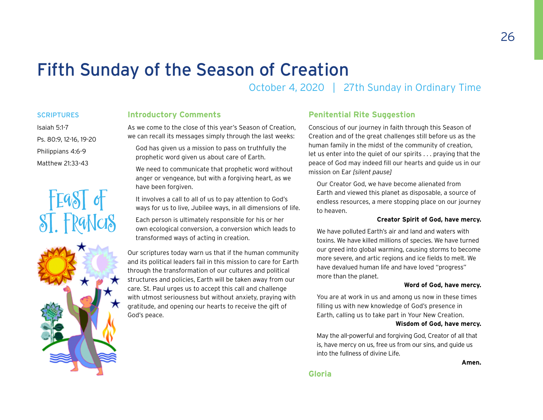### <span id="page-25-0"></span>Fifth Sunday of the Season of Creation

October 4, 2020 | 27th Sunday in Ordinary Time

### **SCRIPTURES**

Ps. 80:9, 12-16, 19-20 Philippians 4:6-9 Matthew 21:33-43

Isaiah 5:1-7

### **Introductory Comments**

As we come to the close of this year's Season of Creation, we can recall its messages simply through the last weeks:

God has given us a mission to pass on truthfully the prophetic word given us about care of Earth.

We need to communicate that prophetic word without anger or vengeance, but with a forgiving heart, as we have been forgiven.

It involves a call to all of us to pay attention to God's ways for us to live, Jubilee ways, in all dimensions of life.

Each person is ultimately responsible for his or her own ecological conversion, a conversion which leads to transformed ways of acting in creation.

Our scriptures today warn us that if the human community and its political leaders fail in this mission to care for Earth through the transformation of our cultures and political structures and policies, Earth will be taken away from our care. St. Paul urges us to accept this call and challenge with utmost seriousness but without anxiety, praying with gratitude, and opening our hearts to receive the gift of God's peace.

### **Penitential Rite Suggestion**

Conscious of our journey in faith through this Season of Creation and of the great challenges still before us as the human family in the midst of the community of creation, let us enter into the quiet of our spirits . . . praying that the peace of God may indeed fill our hearts and guide us in our mission on Ear *[silent pause]*

Our Creator God, we have become alienated from Earth and viewed this planet as disposable, a source of endless resources, a mere stopping place on our journey to heaven.

### **Creator Spirit of God, have mercy.**

We have polluted Earth's air and land and waters with toxins. We have killed millions of species. We have turned our greed into global warming, causing storms to become more severe, and artic regions and ice fields to melt. We have devalued human life and have loved "progress" more than the planet.

#### **Word of God, have mercy.**

You are at work in us and among us now in these times filling us with new knowledge of God's presence in Earth, calling us to take part in Your New Creation.

### **Wisdom of God, have mercy.**

May the all-powerful and forgiving God, Creator of all that is, have mercy on us, free us from our sins, and guide us into the fullness of divine Life.

**Amen.**

FEGST of<br>ST. FRGNCIS

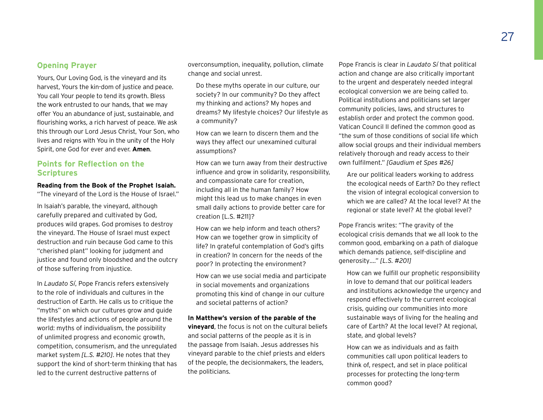Yours, Our Loving God, is the vineyard and its harvest, Yours the kin-dom of justice and peace. You call Your people to tend its growth. Bless the work entrusted to our hands, that we may offer You an abundance of just, sustainable, and flourishing works, a rich harvest of peace. We ask this through our Lord Jesus Christ, Your Son, who lives and reigns with You in the unity of the Holy Spirit, one God for ever and ever. **Amen**.

### **Points for Reflection on the Scriptures**

### **Reading from the Book of the Prophet Isaiah.**

"The vineyard of the Lord is the House of Israel."

In Isaiah's parable, the vineyard, although carefully prepared and cultivated by God, produces wild grapes. God promises to destroy the vineyard. The House of Israel must expect destruction and ruin because God came to this "cherished plant" looking for judgment and justice and found only bloodshed and the outcry of those suffering from injustice.

In *Laudato Sí*, Pope Francis refers extensively to the role of individuals and cultures in the destruction of Earth. He calls us to critique the "myths" on which our cultures grow and guide the lifestyles and actions of people around the world: myths of individualism, the possibility of unlimited progress and economic growth, competition, consumerism, and the unregulated market system *[L.S. #210]*. He notes that they support the kind of short-term thinking that has led to the current destructive patterns of

overconsumption, inequality, pollution, climate change and social unrest.

Do these myths operate in our culture, our society? In our community? Do they affect my thinking and actions? My hopes and dreams? My lifestyle choices? Our lifestyle as a community?

How can we learn to discern them and the ways they affect our unexamined cultural assumptions?

How can we turn away from their destructive influence and grow in solidarity, responsibility, and compassionate care for creation, including all in the human family? How might this lead us to make changes in even small daily actions to provide better care for creation [L.S. #211]?

How can we help inform and teach others? How can we together grow in simplicity of life? In grateful contemplation of God's gifts in creation? In concern for the needs of the poor? In protecting the environment?

How can we use social media and participate in social movements and organizations promoting this kind of change in our culture and societal patterns of action?

### **In Matthew's version of the parable of the**

**vineyard**, the focus is not on the cultural beliefs and social patterns of the people as it is in the passage from Isaiah. Jesus addresses his vineyard parable to the chief priests and elders of the people, the decisionmakers, the leaders, the politicians.

Pope Francis is clear in *Laudato Sí* that political action and change are also critically important to the urgent and desperately needed integral ecological conversion we are being called to. Political institutions and politicians set larger community policies, laws, and structures to establish order and protect the common good. Vatican Council II defined the common good as "the sum of those conditions of social life which allow social groups and their individual members relatively thorough and ready access to their own fulfilment." *[Gaudium et Spes #26]*

Are our political leaders working to address the ecological needs of Earth? Do they reflect the vision of integral ecological conversion to which we are called? At the local level? At the regional or state level? At the global level?

Pope Francis writes: "The gravity of the ecological crisis demands that we all look to the common good, embarking on a path of dialogue which demands patience, self-discipline and generosity…." *[L.S. #201]*

How can we fulfill our prophetic responsibility in love to demand that our political leaders and institutions acknowledge the urgency and respond effectively to the current ecological crisis, guiding our communities into more sustainable ways of living for the healing and care of Earth? At the local level? At regional, state, and global levels?

How can we as individuals and as faith communities call upon political leaders to think of, respect, and set in place political processes for protecting the long-term common good?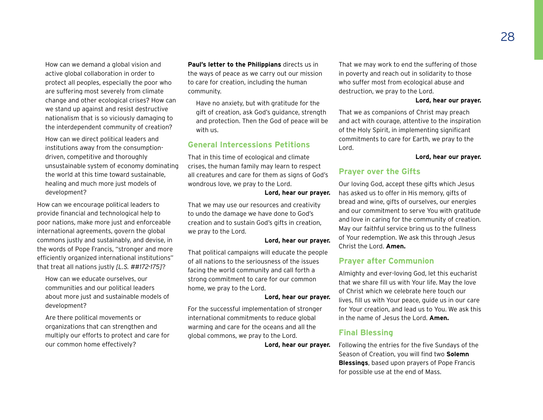How can we demand a global vision and active global collaboration in order to protect all peoples, especially the poor who are suffering most severely from climate change and other ecological crises? How can we stand up against and resist destructive nationalism that is so viciously damaging to the interdependent community of creation?

How can we direct political leaders and institutions away from the consumptiondriven, competitive and thoroughly unsustainable system of economy dominating the world at this time toward sustainable, healing and much more just models of development?

How can we encourage political leaders to provide financial and technological help to poor nations, make more just and enforceable international agreements, govern the global commons justly and sustainably, and devise, in the words of Pope Francis, "stronger and more efficiently organized international institutions" that treat all nations justly *[L.S. ##172-175]*?

How can we educate ourselves, our communities and our political leaders about more just and sustainable models of development?

Are there political movements or organizations that can strengthen and multiply our efforts to protect and care for our common home effectively?

**Paul's letter to the Philippians** directs us in the ways of peace as we carry out our mission to care for creation, including the human community.

Have no anxiety, but with gratitude for the gift of creation, ask God's guidance, strength and protection. Then the God of peace will be with us.

### **General Intercessions Petitions**

That in this time of ecological and climate crises, the human family may learn to respect all creatures and care for them as signs of God's wondrous love, we pray to the Lord.

### **Lord, hear our prayer.**

That we may use our resources and creativity to undo the damage we have done to God's creation and to sustain God's gifts in creation, we pray to the Lord.

### **Lord, hear our prayer.**

That political campaigns will educate the people of all nations to the seriousness of the issues facing the world community and call forth a strong commitment to care for our common home, we pray to the Lord.

### **Lord, hear our prayer.**

For the successful implementation of stronger international commitments to reduce global warming and care for the oceans and all the global commons, we pray to the Lord.

**Lord, hear our prayer.**

That we may work to end the suffering of those in poverty and reach out in solidarity to those who suffer most from ecological abuse and destruction, we pray to the Lord.

#### **Lord, hear our prayer.**

That we as companions of Christ may preach and act with courage, attentive to the inspiration of the Holy Spirit, in implementing significant commitments to care for Earth, we pray to the Lord.

#### **Lord, hear our prayer.**

### **Prayer over the Gifts**

Our loving God, accept these gifts which Jesus has asked us to offer in His memory, gifts of bread and wine, gifts of ourselves, our energies and our commitment to serve You with gratitude and love in caring for the community of creation. May our faithful service bring us to the fullness of Your redemption. We ask this through Jesus Christ the Lord. **Amen.**

### **Prayer after Communion**

Almighty and ever-loving God, let this eucharist that we share fill us with Your life. May the love of Christ which we celebrate here touch our lives, fill us with Your peace, guide us in our care for Your creation, and lead us to You. We ask this in the name of Jesus the Lord. **Amen.**

### **Final Blessing**

Following the entries for the five Sundays of the Season of Creation, you will find two **Solemn Blessings**, based upon prayers of Pope Francis for possible use at the end of Mass.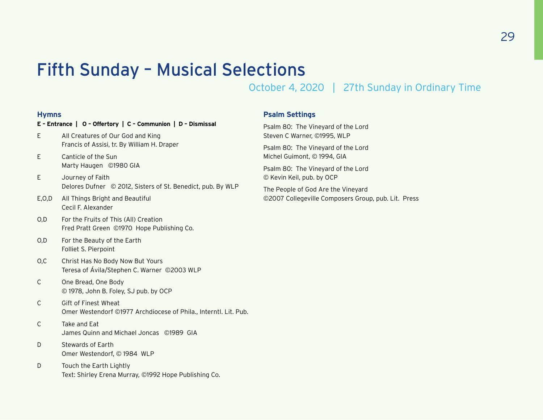### Fifth Sunday – Musical Selections

October 4, 2020 | 27th Sunday in Ordinary Time

### **Hymns**

### **E – Entrance | O – Offertory | C – Communion | D – Dismissal**

- E All Creatures of Our God and King Francis of Assisi, tr. By William H. Draper
- E Canticle of the Sun Marty Haugen ©1980 GIA
- E Journey of Faith Delores Dufner © 2012, Sisters of St. Benedict, pub. By WLP
- E,O,D All Things Bright and Beautiful Cecil F. Alexander
- O,D For the Fruits of This (All) Creation Fred Pratt Green ©1970 Hope Publishing Co.
- O,D For the Beauty of the Earth Folliet S. Pierpoint
- O,C Christ Has No Body Now But Yours Teresa of Ávila/Stephen C. Warner ©2003 WLP
- C One Bread, One Body © 1978, John B. Foley, SJ pub. by OCP
- C Gift of Finest Wheat Omer Westendorf ©1977 Archdiocese of Phila., Interntl. Lit. Pub.
- C Take and Eat James Quinn and Michael Joncas ©1989 GIA
- D Stewards of Earth Omer Westendorf, © 1984 WLP
- D Touch the Earth Lightly Text: Shirley Erena Murray, ©1992 Hope Publishing Co.

### **Psalm Settings**

Psalm 80: The Vineyard of the Lord Steven C Warner, ©1995, WLP

Psalm 80: The Vineyard of the Lord Michel Guimont, © 1994, GIA

Psalm 80: The Vineyard of the Lord © Kevin Keil, pub. by OCP

The People of God Are the Vineyard ©2007 Collegeville Composers Group, pub. Lit. Press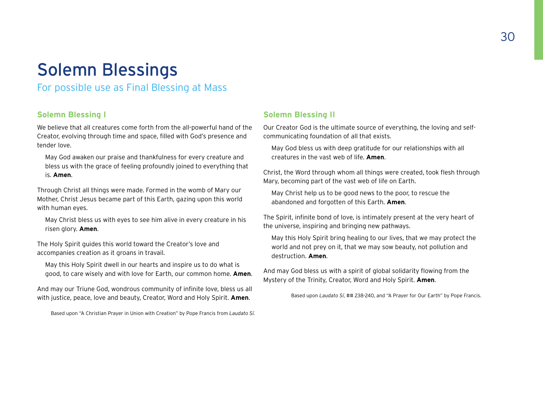### <span id="page-29-0"></span>Solemn Blessings

For possible use as Final Blessing at Mass

### **Solemn Blessing I**

We believe that all creatures come forth from the all-powerful hand of the Creator, evolving through time and space, filled with God's presence and tender love.

May God awaken our praise and thankfulness for every creature and bless us with the grace of feeling profoundly joined to everything that is. **Amen**.

Through Christ all things were made. Formed in the womb of Mary our Mother, Christ Jesus became part of this Earth, gazing upon this world with human eyes.

May Christ bless us with eyes to see him alive in every creature in his risen glory. **Amen**.

The Holy Spirit guides this world toward the Creator's love and accompanies creation as it groans in travail.

May this Holy Spirit dwell in our hearts and inspire us to do what is good, to care wisely and with love for Earth, our common home. **Amen**.

And may our Triune God, wondrous community of infinite love, bless us all with justice, peace, love and beauty, Creator, Word and Holy Spirit. **Amen**.

Based upon "A Christian Prayer in Union with Creation" by Pope Francis from *Laudato Sí.*

### **Solemn Blessing II**

Our Creator God is the ultimate source of everything, the loving and selfcommunicating foundation of all that exists.

May God bless us with deep gratitude for our relationships with all creatures in the vast web of life. **Amen**.

Christ, the Word through whom all things were created, took flesh through Mary, becoming part of the vast web of life on Earth.

May Christ help us to be good news to the poor, to rescue the abandoned and forgotten of this Earth. **Amen**.

The Spirit, infinite bond of love, is intimately present at the very heart of the universe, inspiring and bringing new pathways.

May this Holy Spirit bring healing to our lives, that we may protect the world and not prey on it, that we may sow beauty, not pollution and destruction. **Amen**.

And may God bless us with a spirit of global solidarity flowing from the Mystery of the Trinity, Creator, Word and Holy Spirit. **Amen**.

Based upon *Laudato Sí*, ## 238-240, and "A Prayer for Our Earth" by Pope Francis.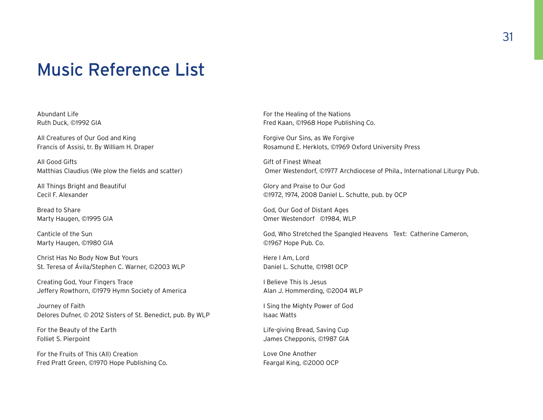### <span id="page-30-0"></span>Music Reference List

Abundant Life Ruth Duck, ©1992 GIA

All Creatures of Our God and King Francis of Assisi, tr. By William H. Draper

All Good Gifts Matthias Claudius (We plow the fields and scatter)

All Things Bright and Beautiful Cecil F. Alexander

Bread to Share Marty Haugen, ©1995 GIA

Canticle of the Sun Marty Haugen, ©1980 GIA

Christ Has No Body Now But Yours St. Teresa of Ávila/Stephen C. Warner, ©2003 WLP

Creating God, Your Fingers Trace Jeffery Rowthorn, ©1979 Hymn Society of America

Journey of Faith Delores Dufner, © 2012 Sisters of St. Benedict, pub. By WLP

For the Beauty of the Earth Folliet S. Pierpoint

For the Fruits of This (All) Creation Fred Pratt Green, ©1970 Hope Publishing Co. For the Healing of the Nations Fred Kaan, ©1968 Hope Publishing Co.

Forgive Our Sins, as We Forgive Rosamund E. Herklots, ©1969 Oxford University Press

Gift of Finest Wheat Omer Westendorf, ©1977 Archdiocese of Phila., International Liturgy Pub.

Glory and Praise to Our God ©1972, 1974, 2008 Daniel L. Schutte, pub. by OCP

God, Our God of Distant Ages Omer Westendorf ©1984, WLP

God, Who Stretched the Spangled Heavens Text: Catherine Cameron, ©1967 Hope Pub. Co.

Here I Am, Lord Daniel L. Schutte, ©1981 OCP

I Believe This Is Jesus Alan J. Hommerding, ©2004 WLP

I Sing the Mighty Power of God Isaac Watts

Life-giving Bread, Saving Cup James Chepponis, ©1987 GIA

Love One Another Feargal King, ©2000 OCP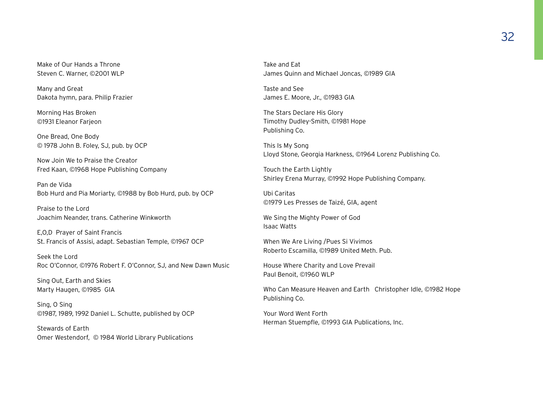Make of Our Hands a Throne Steven C. Warner, ©2001 WLP

Many and Great Dakota hymn, para. Philip Frazier

Morning Has Broken ©1931 Eleanor Farjeon

One Bread, One Body © 1978 John B. Foley, SJ, pub. by OCP

Now Join We to Praise the Creator Fred Kaan, ©1968 Hope Publishing Company

Pan de Vida Bob Hurd and Pia Moriarty, ©1988 by Bob Hurd, pub. by OCP

Praise to the Lord Joachim Neander, trans. Catherine Winkworth

E,O,D Prayer of Saint Francis St. Francis of Assisi, adapt. Sebastian Temple, ©1967 OCP

Seek the Lord Roc O'Connor, ©1976 Robert F. O'Connor, SJ, and New Dawn Music

Sing Out, Earth and Skies Marty Haugen, ©1985 GIA

Sing, O Sing ©1987, 1989, 1992 Daniel L. Schutte, published by OCP

Stewards of Earth Omer Westendorf, © 1984 World Library Publications Take and Eat James Quinn and Michael Joncas, ©1989 GIA

Taste and See James E. Moore, Jr., ©1983 GIA

The Stars Declare His Glory Timothy Dudley-Smith, ©1981 Hope Publishing Co.

This Is My Song Lloyd Stone, Georgia Harkness, ©1964 Lorenz Publishing Co.

Touch the Earth Lightly Shirley Erena Murray, ©1992 Hope Publishing Company.

Ubi Caritas ©1979 Les Presses de Taizé, GIA, agent

We Sing the Mighty Power of God Isaac Watts

When We Are Living /Pues Si Vivimos Roberto Escamilla, ©1989 United Meth. Pub.

House Where Charity and Love Prevail Paul Benoit, ©1960 WLP

Who Can Measure Heaven and Earth Christopher Idle, ©1982 Hope Publishing Co.

Your Word Went Forth Herman Stuempfle, ©1993 GIA Publications, Inc.